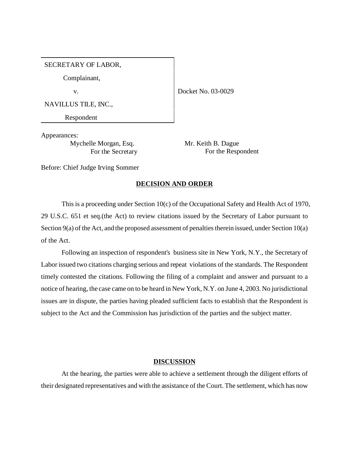## SECRETARY OF LABOR,

Complainant,

v.

Docket No. 03-0029

NAVILLUS TILE, INC.,

Respondent

Appearances:

Mychelle Morgan, Esq. For the Secretary Mr. Keith B. Dague For the Respondent

Before: Chief Judge Irving Sommer

## **DECISION AND ORDER**

This is a proceeding under Section 10(c) of the Occupational Safety and Health Act of 1970, 29 U.S.C. 651 et seq.(the Act) to review citations issued by the Secretary of Labor pursuant to Section 9(a) of the Act, and the proposed assessment of penalties therein issued, under Section 10(a) of the Act.

Following an inspection of respondent's business site in New York, N.Y., the Secretary of Labor issued two citations charging serious and repeat violations of the standards. The Respondent timely contested the citations. Following the filing of a complaint and answer and pursuant to a notice of hearing, the case came on to be heard in New York, N.Y. on June 4, 2003. No jurisdictional issues are in dispute, the parties having pleaded sufficient facts to establish that the Respondent is subject to the Act and the Commission has jurisdiction of the parties and the subject matter.

## **DISCUSSION**

At the hearing, the parties were able to achieve a settlement through the diligent efforts of their designated representatives and with the assistance of the Court. The settlement, which has now